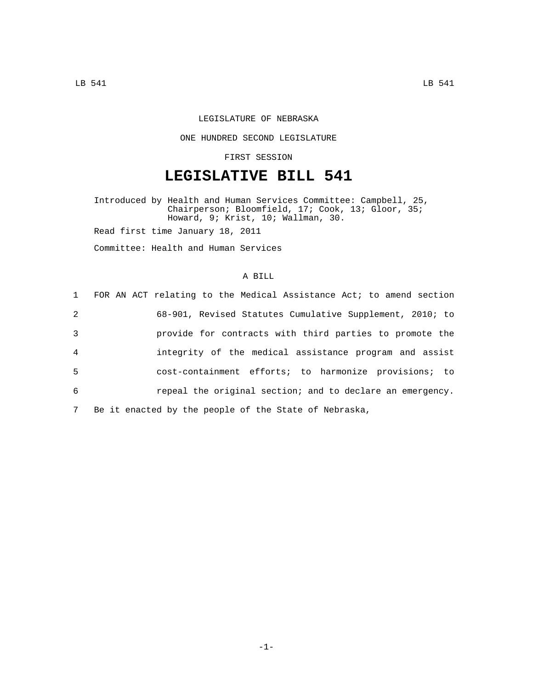## LEGISLATURE OF NEBRASKA

## ONE HUNDRED SECOND LEGISLATURE

## FIRST SESSION

# **LEGISLATIVE BILL 541**

Introduced by Health and Human Services Committee: Campbell, 25, Chairperson; Bloomfield, 17; Cook, 13; Gloor, 35; Howard, 9; Krist, 10; Wallman, 30.

Read first time January 18, 2011

Committee: Health and Human Services

#### A BILL

|                | 1 FOR AN ACT relating to the Medical Assistance Act; to amend section |
|----------------|-----------------------------------------------------------------------|
| 2              | 68-901, Revised Statutes Cumulative Supplement, 2010; to              |
| 3              | provide for contracts with third parties to promote the               |
| $\overline{4}$ | integrity of the medical assistance program and assist                |
| -5             | cost-containment efforts; to harmonize provisions; to                 |
| 6              | repeal the original section; and to declare an emergency.             |
| 7              | Be it enacted by the people of the State of Nebraska,                 |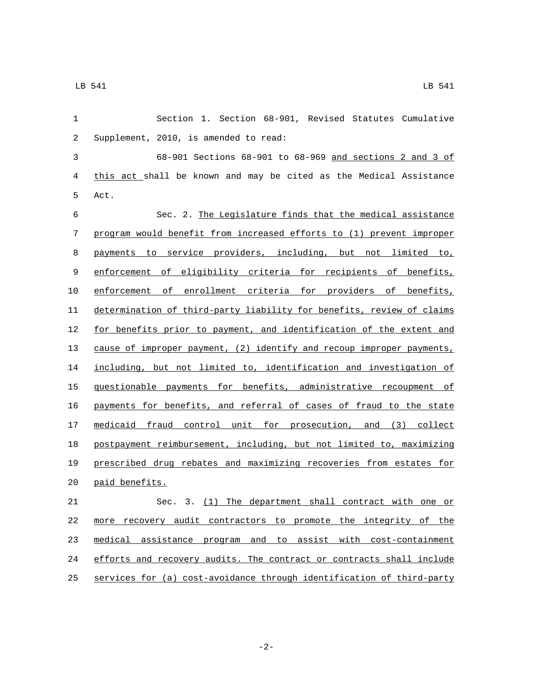| $\mathbf{1}$ | Section 1. Section 68-901, Revised Statutes Cumulative                |
|--------------|-----------------------------------------------------------------------|
| 2            | Supplement, 2010, is amended to read:                                 |
| 3            | 68-901 Sections 68-901 to 68-969 and sections 2 and 3 of              |
| 4            | this act shall be known and may be cited as the Medical Assistance    |
| 5            | Act.                                                                  |
| 6            | Sec. 2. The Legislature finds that the medical assistance             |
| 7            | program would benefit from increased efforts to (1) prevent improper  |
| 8            | payments to service providers, including, but not limited to,         |
| 9            | enforcement of eligibility criteria for recipients of benefits,       |
| 10           | enforcement of enrollment criteria for providers of benefits,         |
| 11           | determination of third-party liability for benefits, review of claims |
| 12           | for benefits prior to payment, and identification of the extent and   |
| 13           | cause of improper payment, (2) identify and recoup improper payments, |
| 14           | including, but not limited to, identification and investigation of    |
| 15           | questionable payments for benefits, administrative recoupment of      |
| 16           | payments for benefits, and referral of cases of fraud to the state    |
| 17           | medicaid fraud control unit for prosecution, and (3) collect          |
| 18           | postpayment reimbursement, including, but not limited to, maximizing  |
| 19           | prescribed drug rebates and maximizing recoveries from estates for    |
| 20           | paid benefits.                                                        |
| 21           | Sec. 3. (1) The department shall contract with one or                 |
| 22           | more recovery audit contractors to promote the integrity of the       |
| 23           | medical assistance program and to assist with cost-containment        |
| 24           | efforts and recovery audits. The contract or contracts shall include  |
| 25           | services for (a) cost-avoidance through identification of third-party |

-2-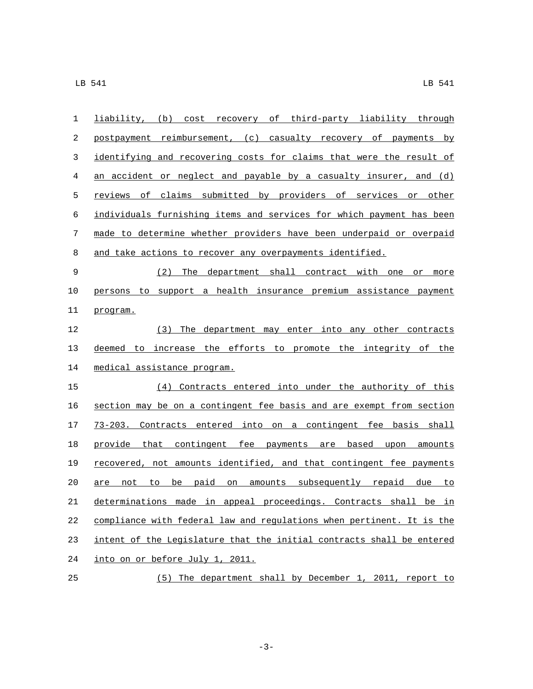| postpayment reimbursement, (c) casualty recovery of payments by<br>identifying and recovering costs for claims that were the result of<br>an accident or neglect and payable by a casualty insurer, and $(d)$<br>reviews of claims submitted by providers of services or other |
|--------------------------------------------------------------------------------------------------------------------------------------------------------------------------------------------------------------------------------------------------------------------------------|
|                                                                                                                                                                                                                                                                                |
|                                                                                                                                                                                                                                                                                |
|                                                                                                                                                                                                                                                                                |
|                                                                                                                                                                                                                                                                                |
| individuals furnishing items and services for which payment has been                                                                                                                                                                                                           |
| made to determine whether providers have been underpaid or overpaid                                                                                                                                                                                                            |
| and take actions to recover any overpayments identified.                                                                                                                                                                                                                       |
| (2) The department shall contract with one or more                                                                                                                                                                                                                             |
| persons to support a health insurance premium assistance payment                                                                                                                                                                                                               |
| program.                                                                                                                                                                                                                                                                       |
| (3) The department may enter into any other contracts                                                                                                                                                                                                                          |
| deemed to increase the efforts to promote the integrity of the                                                                                                                                                                                                                 |
| medical assistance program.                                                                                                                                                                                                                                                    |
| (4) Contracts entered into under the authority of this                                                                                                                                                                                                                         |
|                                                                                                                                                                                                                                                                                |
| section may be on a contingent fee basis and are exempt from section                                                                                                                                                                                                           |
| 73-203. Contracts entered into on a contingent fee basis shall                                                                                                                                                                                                                 |
| provide that contingent fee payments are based upon amounts                                                                                                                                                                                                                    |
| recovered, not amounts identified, and that contingent fee payments                                                                                                                                                                                                            |
| are not to be paid on amounts subsequently repaid due to                                                                                                                                                                                                                       |
| determinations made in appeal proceedings. Contracts shall be in                                                                                                                                                                                                               |
| compliance with federal law and regulations when pertinent. It is the                                                                                                                                                                                                          |
| intent of the Legislature that the initial contracts shall be entered                                                                                                                                                                                                          |
|                                                                                                                                                                                                                                                                                |

(5) The department shall by December 1, 2011, report to

-3-